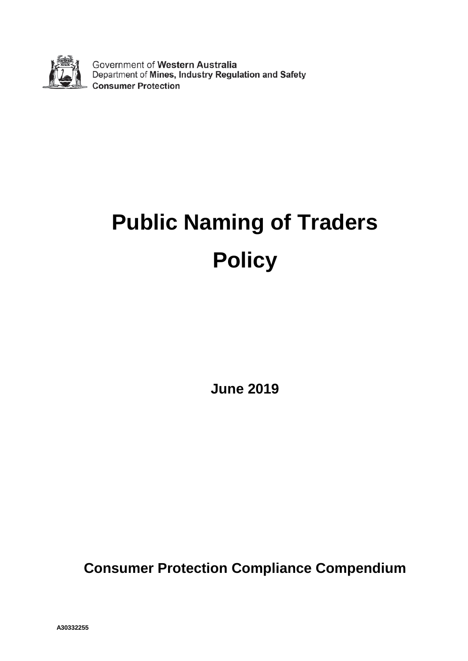

Government of Western Australia<br>Department of Mines, Industry Regulation and Safety **Consumer Protection** 

# **Public Naming of Traders Policy**

**June 2019**

**Consumer Protection Compliance Compendium**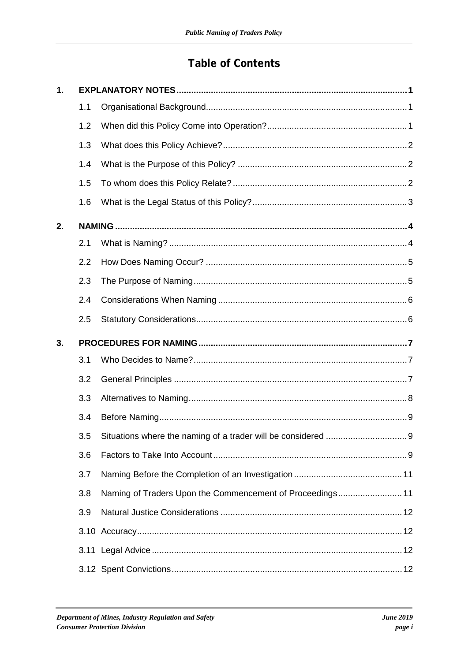## **Table of Contents**

| 1. |     |                                                           |  |
|----|-----|-----------------------------------------------------------|--|
|    | 1.1 |                                                           |  |
|    | 1.2 |                                                           |  |
|    | 1.3 |                                                           |  |
|    | 1.4 |                                                           |  |
|    | 1.5 |                                                           |  |
|    | 1.6 |                                                           |  |
| 2. |     |                                                           |  |
|    | 2.1 |                                                           |  |
|    | 2.2 |                                                           |  |
|    | 2.3 |                                                           |  |
|    | 2.4 |                                                           |  |
|    | 2.5 |                                                           |  |
|    |     |                                                           |  |
| 3. |     |                                                           |  |
|    | 3.1 |                                                           |  |
|    | 3.2 |                                                           |  |
|    | 3.3 |                                                           |  |
|    | 3.4 |                                                           |  |
|    |     |                                                           |  |
|    | 3.6 |                                                           |  |
|    | 3.7 |                                                           |  |
|    | 3.8 | Naming of Traders Upon the Commencement of Proceedings 11 |  |
|    | 3.9 |                                                           |  |
|    |     |                                                           |  |
|    |     |                                                           |  |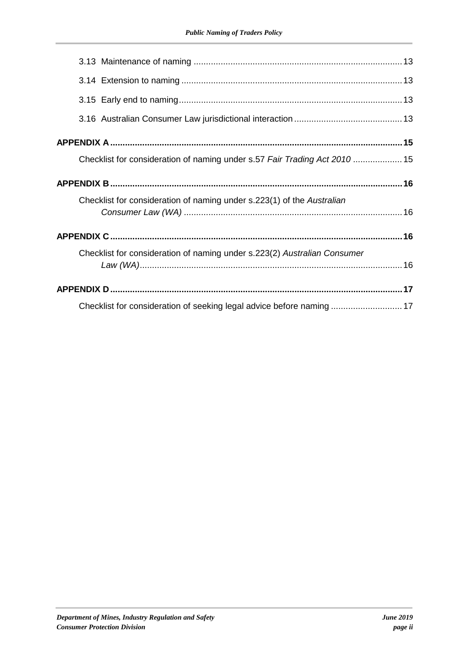| Checklist for consideration of naming under s.57 Fair Trading Act 2010  15 |  |  |  |
|----------------------------------------------------------------------------|--|--|--|
|                                                                            |  |  |  |
| Checklist for consideration of naming under s.223(1) of the Australian     |  |  |  |
|                                                                            |  |  |  |
| Checklist for consideration of naming under s.223(2) Australian Consumer   |  |  |  |
|                                                                            |  |  |  |
|                                                                            |  |  |  |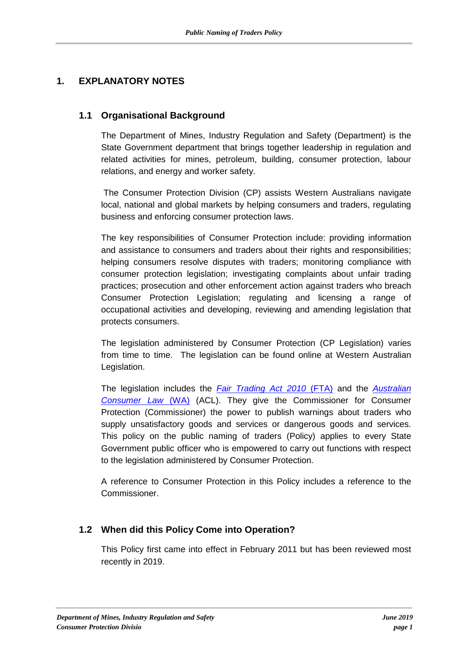## **1. EXPLANATORY NOTES**

#### **1.1 Organisational Background**

The Department of Mines, Industry Regulation and Safety (Department) is the State Government department that brings together leadership in regulation and related activities for mines, petroleum, building, consumer protection, labour relations, and energy and worker safety.

The Consumer Protection Division (CP) assists Western Australians navigate local, national and global markets by helping consumers and traders, regulating business and enforcing consumer protection laws.

The key responsibilities of Consumer Protection include: providing information and assistance to consumers and traders about their rights and responsibilities; helping consumers resolve disputes with traders; monitoring compliance with consumer protection legislation; investigating complaints about unfair trading practices; prosecution and other enforcement action against traders who breach Consumer Protection Legislation; regulating and licensing a range of occupational activities and developing, reviewing and amending legislation that protects consumers.

The legislation administered by Consumer Protection (CP Legislation) varies from time to time. The legislation can be found online at [Western Australian](https://www.legislation.wa.gov.au/legislation/statutes.nsf/home.htmlhttps:/www.legislation.wa.gov.au/legislation/statutes.nsf/home.html)  [Legislation.](https://www.legislation.wa.gov.au/legislation/statutes.nsf/home.htmlhttps:/www.legislation.wa.gov.au/legislation/statutes.nsf/home.html)

The legislation includes the *[Fair Trading Act 2010](https://www.legislation.wa.gov.au/legislation/statutes.nsf/law_a146804.htmlhttps:/www.legislation.wa.gov.au/legislation/prod/filestore.nsf/FileURL/mrdoc_41029.pdf/$FILE/Fair%20Trading%20Act%202010%20-%20%5B02-a0-03%5D.pdf?OpenElement)* (FTA) and the *[Australian](https://www.legislation.wa.gov.au/legislation/statutes.nsf/law_a146804.htmlhttps:/www.legislation.wa.gov.au/legislation/prod/filestore.nsf/FileURL/mrdoc_41029.pdf/$FILE/Fair%20Trading%20Act%202010%20-%20%5B02-a0-03%5D.pdf?OpenElement)  [Consumer Law](https://www.legislation.wa.gov.au/legislation/statutes.nsf/law_a146804.htmlhttps:/www.legislation.wa.gov.au/legislation/prod/filestore.nsf/FileURL/mrdoc_41029.pdf/$FILE/Fair%20Trading%20Act%202010%20-%20%5B02-a0-03%5D.pdf?OpenElement)* (WA) (ACL). They give the Commissioner for Consumer Protection (Commissioner) the power to publish warnings about traders who supply unsatisfactory goods and services or dangerous goods and services. This policy on the public naming of traders (Policy) applies to every State Government public officer who is empowered to carry out functions with respect to the legislation administered by Consumer Protection.

A reference to Consumer Protection in this Policy includes a reference to the Commissioner.

#### **1.2 When did this Policy Come into Operation?**

This Policy first came into effect in February 2011 but has been reviewed most recently in 2019.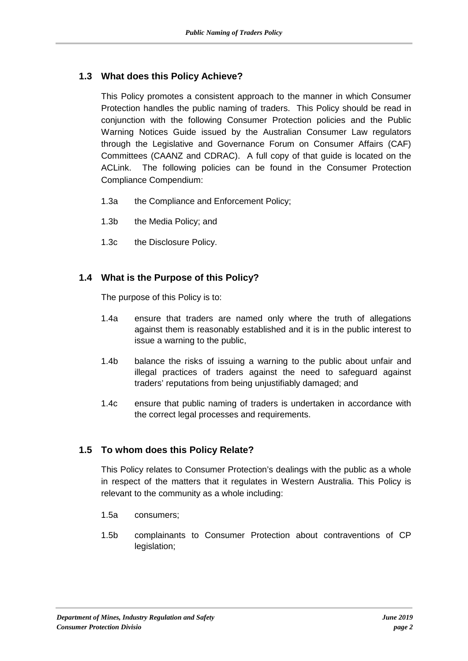#### **1.3 What does this Policy Achieve?**

This Policy promotes a consistent approach to the manner in which Consumer Protection handles the public naming of traders. This Policy should be read in conjunction with the following Consumer Protection policies and the Public Warning Notices Guide issued by the Australian Consumer Law regulators through the Legislative and Governance Forum on Consumer Affairs (CAF) Committees (CAANZ and CDRAC). A full copy of that guide is located on the ACLink. The following policies can be found in the Consumer Protection Compliance Compendium:

- 1.3a the [Compliance and Enforcement Policy;](http://intranet.home.docep.wa.gov.au/intranet/Divisions/Consumer_Protection/Media/ComplianceCompendium/07-Comp_Enforcement.pdf)
- 1.3b the [Media Policy;](http://intranet.home.docep.wa.gov.au/intranet/Divisions/Consumer_Protection/Media/ComplianceCompendium/05-Media_Policy.pdf) and
- 1.3c the [Disclosure Policy.](file://bambam/f/Departments/Public/CP%20Compliance%20Compendium/Part%206%20-%20Disclosure%20Policy/CP%20Disclosure%20Policy.htm)

#### **1.4 What is the Purpose of this Policy?**

The purpose of this Policy is to:

- 1.4a ensure that traders are named only where the truth of allegations against them is reasonably established and it is in the public interest to issue a warning to the public,
- 1.4b balance the risks of issuing a warning to the public about unfair and illegal practices of traders against the need to safeguard against traders' reputations from being unjustifiably damaged; and
- 1.4c ensure that public naming of traders is undertaken in accordance with the correct legal processes and requirements.

#### **1.5 To whom does this Policy Relate?**

This Policy relates to Consumer Protection's dealings with the public as a whole in respect of the matters that it regulates in Western Australia. This Policy is relevant to the community as a whole including:

- 1.5a consumers;
- 1.5b complainants to Consumer Protection about contraventions of CP legislation;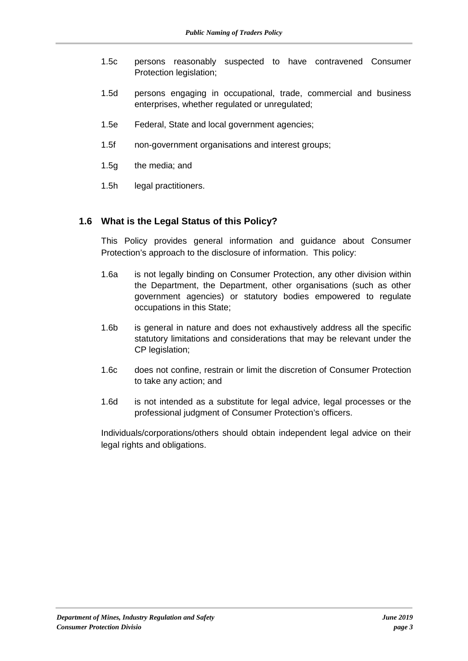- 1.5c persons reasonably suspected to have contravened Consumer Protection legislation;
- 1.5d persons engaging in occupational, trade, commercial and business enterprises, whether regulated or unregulated;
- 1.5e Federal, State and local government agencies;
- 1.5f non-government organisations and interest groups;
- 1.5g the media; and
- 1.5h legal practitioners.

#### **1.6 What is the Legal Status of this Policy?**

This Policy provides general information and guidance about Consumer Protection's approach to the disclosure of information. This policy:

- 1.6a is not legally binding on Consumer Protection, any other division within the Department, the Department, other organisations (such as other government agencies) or statutory bodies empowered to regulate occupations in this State;
- 1.6b is general in nature and does not exhaustively address all the specific statutory limitations and considerations that may be relevant under the CP legislation;
- 1.6c does not confine, restrain or limit the discretion of Consumer Protection to take any action; and
- 1.6d is not intended as a substitute for legal advice, legal processes or the professional judgment of Consumer Protection's officers.

Individuals/corporations/others should obtain independent legal advice on their legal rights and obligations.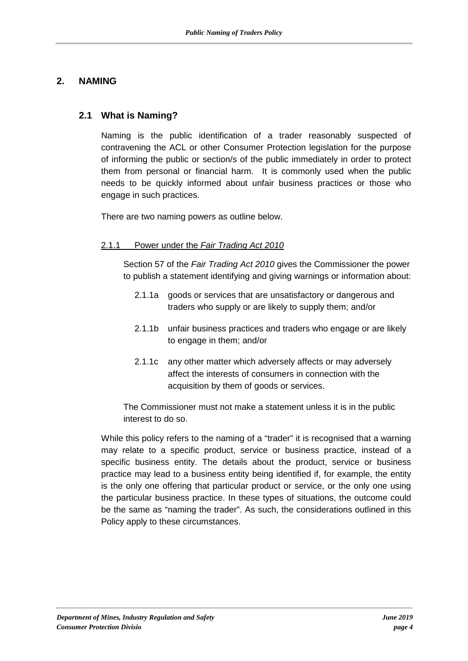#### **2. NAMING**

#### **2.1 What is Naming?**

Naming is the public identification of a trader reasonably suspected of contravening the ACL or other Consumer Protection legislation for the purpose of informing the public or section/s of the public immediately in order to protect them from personal or financial harm. It is commonly used when the public needs to be quickly informed about unfair business practices or those who engage in such practices.

There are two naming powers as outline below.

#### 2.1.1 Power under the *Fair Trading Act 2010*

Section 57 of the *[Fair Trading](https://www.legislation.wa.gov.au/legislation/statutes.nsf/law_a146804.html) Act 2010* gives the Commissioner the power to publish a statement identifying and giving warnings or information about:

- 2.1.1a goods or services that are unsatisfactory or dangerous and traders who supply or are likely to supply them; and/or
- 2.1.1b unfair business practices and traders who engage or are likely to engage in them; and/or
- 2.1.1c any other matter which adversely affects or may adversely affect the interests of consumers in connection with the acquisition by them of goods or services.

The Commissioner must not make a statement unless it is in the public interest to do so.

While this policy refers to the naming of a "trader" it is recognised that a warning may relate to a specific product, service or business practice, instead of a specific business entity. The details about the product, service or business practice may lead to a business entity being identified if, for example, the entity is the only one offering that particular product or service, or the only one using the particular business practice. In these types of situations, the outcome could be the same as "naming the trader". As such, the considerations outlined in this Policy apply to these circumstances.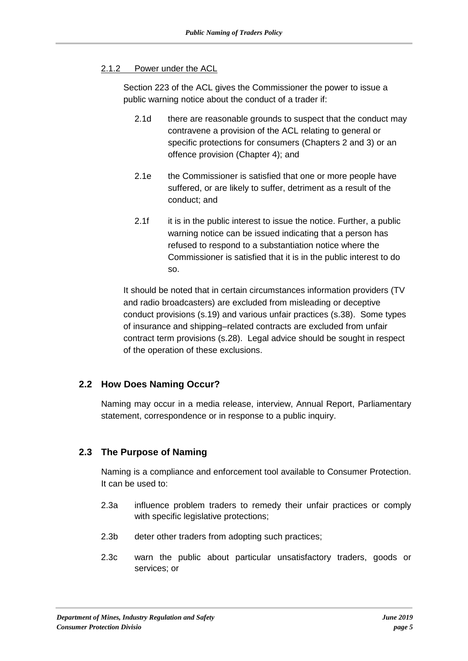#### 2.1.2 Power under the ACL

Section 223 of the [ACL](https://www.legislation.wa.gov.au/legislation/statutes.nsf/law_a146804.html) gives the Commissioner the power to issue a public warning notice about the conduct of a trader if:

- 2.1d there are reasonable grounds to suspect that the conduct may contravene a provision of the ACL relating to general or specific protections for consumers (Chapters 2 and 3) or an offence provision (Chapter 4); and
- 2.1e the Commissioner is satisfied that one or more people have suffered, or are likely to suffer, detriment as a result of the conduct; and
- 2.1f it is in the public interest to issue the notice. Further, a public warning notice can be issued indicating that a person has refused to respond to a substantiation notice where the Commissioner is satisfied that it is in the public interest to do so.

It should be noted that in certain circumstances information providers (TV and radio broadcasters) are excluded from misleading or deceptive conduct provisions (s.19) and various unfair practices (s.38). Some types of insurance and shipping–related contracts are excluded from unfair contract term provisions (s.28). Legal advice should be sought in respect of the operation of these exclusions.

#### **2.2 How Does Naming Occur?**

Naming may occur in a media release, interview, Annual Report, Parliamentary statement, correspondence or in response to a public inquiry.

#### **2.3 The Purpose of Naming**

Naming is a compliance and enforcement tool available to Consumer Protection. It can be used to:

- 2.3a influence problem traders to remedy their unfair practices or comply with specific legislative protections;
- 2.3b deter other traders from adopting such practices;
- 2.3c warn the public about particular unsatisfactory traders, goods or services; or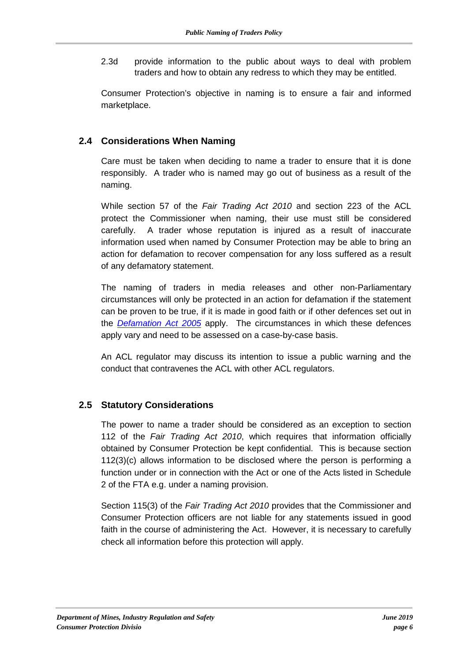2.3d provide information to the public about ways to deal with problem traders and how to obtain any redress to which they may be entitled.

Consumer Protection's objective in naming is to ensure a fair and informed marketplace.

#### **2.4 Considerations When Naming**

Care must be taken when deciding to name a trader to ensure that it is done responsibly. A trader who is named may go out of business as a result of the naming.

While section 57 of the *Fair Trading Act 2010* and section 223 of the ACL protect the Commissioner when naming, their use must still be considered carefully. A trader whose reputation is injured as a result of inaccurate information used when named by Consumer Protection may be able to bring an action for defamation to recover compensation for any loss suffered as a result of any defamatory statement.

The naming of traders in media releases and other non-Parliamentary circumstances will only be protected in an action for defamation if the statement can be proven to be true, if it is made in good faith or if other defences set out in the *[Defamation Act 2005](https://www.legislation.wa.gov.au/legislation/statutes.nsf/law_a9415.html)* apply. The circumstances in which these defences apply vary and need to be assessed on a case-by-case basis.

An ACL regulator may discuss its intention to issue a public warning and the conduct that contravenes the ACL with other ACL regulators.

#### **2.5 Statutory Considerations**

The power to name a trader should be considered as an exception to section 112 of the *Fair Trading Act 2010*, which requires that information officially obtained by Consumer Protection be kept confidential. This is because section 112(3)(c) allows information to be disclosed where the person is performing a function under or in connection with the Act or one of the Acts listed in Schedule 2 of the FTA e.g. under a naming provision.

Section 115(3) of the *Fair Trading Act 2010* provides that the Commissioner and Consumer Protection officers are not liable for any statements issued in good faith in the course of administering the Act. However, it is necessary to carefully check all information before this protection will apply.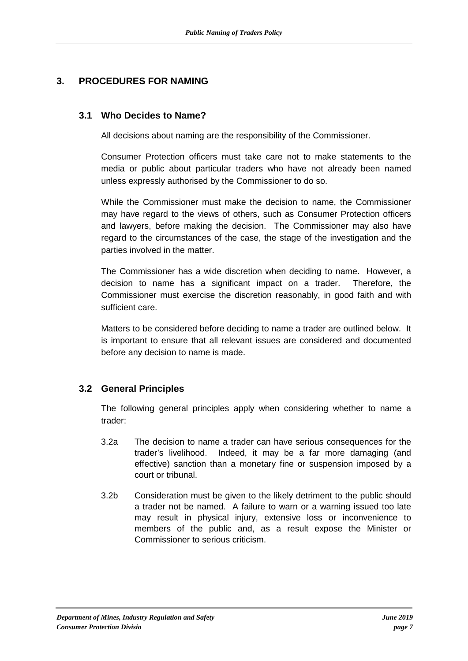## **3. PROCEDURES FOR NAMING**

#### **3.1 Who Decides to Name?**

All decisions about naming are the responsibility of the Commissioner.

Consumer Protection officers must take care not to make statements to the media or public about particular traders who have not already been named unless expressly authorised by the Commissioner to do so.

While the Commissioner must make the decision to name, the Commissioner may have regard to the views of others, such as Consumer Protection officers and lawyers, before making the decision. The Commissioner may also have regard to the circumstances of the case, the stage of the investigation and the parties involved in the matter.

The Commissioner has a wide discretion when deciding to name. However, a decision to name has a significant impact on a trader. Therefore, the Commissioner must exercise the discretion reasonably, in good faith and with sufficient care.

Matters to be considered before deciding to name a trader are outlined below. It is important to ensure that all relevant issues are considered and documented before any decision to name is made.

#### **3.2 General Principles**

The following general principles apply when considering whether to name a trader:

- 3.2a The decision to name a trader can have serious consequences for the trader's livelihood. Indeed, it may be a far more damaging (and effective) sanction than a monetary fine or suspension imposed by a court or tribunal.
- 3.2b Consideration must be given to the likely detriment to the public should a trader not be named. A failure to warn or a warning issued too late may result in physical injury, extensive loss or inconvenience to members of the public and, as a result expose the Minister or Commissioner to serious criticism.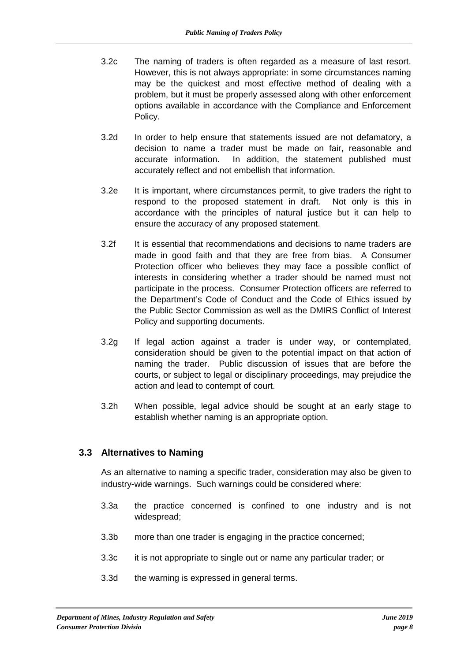- 3.2c The naming of traders is often regarded as a measure of last resort. However, this is not always appropriate: in some circumstances naming may be the quickest and most effective method of dealing with a problem, but it must be properly assessed along with other enforcement options available in accordance with the Compliance and Enforcement Policy.
- 3.2d In order to help ensure that statements issued are not defamatory, a decision to name a trader must be made on fair, reasonable and accurate information. In addition, the statement published must accurately reflect and not embellish that information.
- 3.2e It is important, where circumstances permit, to give traders the right to respond to the proposed statement in draft. Not only is this in accordance with the principles of natural justice but it can help to ensure the accuracy of any proposed statement.
- 3.2f It is essential that recommendations and decisions to name traders are made in good faith and that they are free from bias. A Consumer Protection officer who believes they may face a possible conflict of interests in considering whether a trader should be named must not participate in the process. Consumer Protection officers are referred to the Department's Code of Conduct and the Code of Ethics issued by the Public Sector Commission as well as the DMIRS Conflict of Interest Policy and supporting documents.
- 3.2g If legal action against a trader is under way, or contemplated, consideration should be given to the potential impact on that action of naming the trader. Public discussion of issues that are before the courts, or subject to legal or disciplinary proceedings, may prejudice the action and lead to contempt of court.
- 3.2h When possible, legal advice should be sought at an early stage to establish whether naming is an appropriate option.

#### **3.3 Alternatives to Naming**

As an alternative to naming a specific trader, consideration may also be given to industry-wide warnings. Such warnings could be considered where:

- 3.3a the practice concerned is confined to one industry and is not widespread;
- 3.3b more than one trader is engaging in the practice concerned;
- 3.3c it is not appropriate to single out or name any particular trader; or
- 3.3d the warning is expressed in general terms.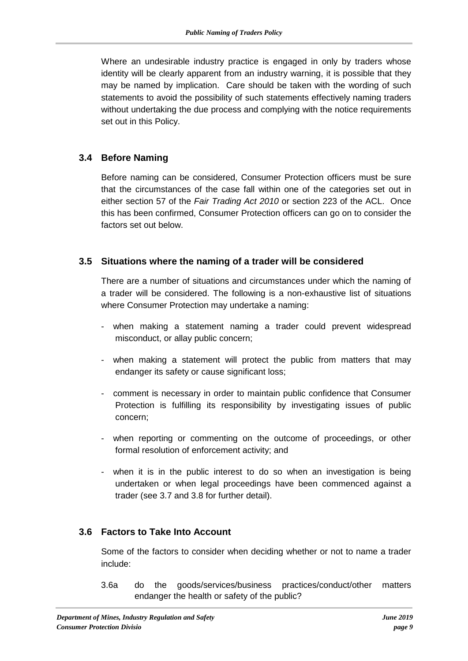Where an undesirable industry practice is engaged in only by traders whose identity will be clearly apparent from an industry warning, it is possible that they may be named by implication. Care should be taken with the wording of such statements to avoid the possibility of such statements effectively naming traders without undertaking the due process and complying with the notice requirements set out in this Policy.

#### **3.4 Before Naming**

Before naming can be considered, Consumer Protection officers must be sure that the circumstances of the case fall within one of the categories set out in either section 57 of the *[Fair Trading](https://www.legislation.wa.gov.au/legislation/statutes.nsf/law_a146804.html) Act 2010* or section 223 of the [ACL.](https://www.legislation.wa.gov.au/legislation/statutes.nsf/law_a146804.html) Once this has been confirmed, Consumer Protection officers can go on to consider the factors set out below.

#### **3.5 Situations where the naming of a trader will be considered**

There are a number of situations and circumstances under which the naming of a trader will be considered. The following is a non-exhaustive list of situations where Consumer Protection may undertake a naming:

- when making a statement naming a trader could prevent widespread misconduct, or allay public concern;
- when making a statement will protect the public from matters that may endanger its safety or cause significant loss;
- comment is necessary in order to maintain public confidence that Consumer Protection is fulfilling its responsibility by investigating issues of public concern;
- when reporting or commenting on the outcome of proceedings, or other formal resolution of enforcement activity; and
- when it is in the public interest to do so when an investigation is being undertaken or when legal proceedings have been commenced against a trader (see 3.7 and 3.8 for further detail).

#### **3.6 Factors to Take Into Account**

Some of the factors to consider when deciding whether or not to name a trader include:

3.6a do the goods/services/business practices/conduct/other matters endanger the health or safety of the public?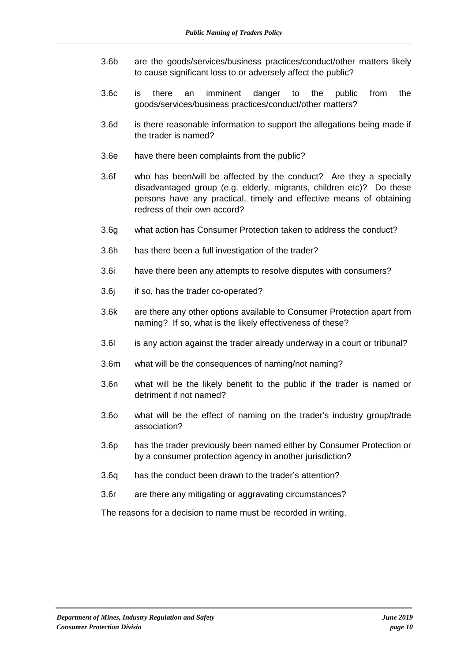- 3.6b are the goods/services/business practices/conduct/other matters likely to cause significant loss to or adversely affect the public?
- 3.6c is there an imminent danger to the public from the goods/services/business practices/conduct/other matters?
- 3.6d is there reasonable information to support the allegations being made if the trader is named?
- 3.6e have there been complaints from the public?
- 3.6f who has been/will be affected by the conduct? Are they a specially disadvantaged group (e.g. elderly, migrants, children etc)? Do these persons have any practical, timely and effective means of obtaining redress of their own accord?
- 3.6g what action has Consumer Protection taken to address the conduct?
- 3.6h has there been a full investigation of the trader?
- 3.6i have there been any attempts to resolve disputes with consumers?
- 3.6j if so, has the trader co-operated?
- 3.6k are there any other options available to Consumer Protection apart from naming? If so, what is the likely effectiveness of these?
- 3.6l is any action against the trader already underway in a court or tribunal?
- 3.6m what will be the consequences of naming/not naming?
- 3.6n what will be the likely benefit to the public if the trader is named or detriment if not named?
- 3.6o what will be the effect of naming on the trader's industry group/trade association?
- 3.6p has the trader previously been named either by Consumer Protection or by a consumer protection agency in another jurisdiction?
- 3.6q has the conduct been drawn to the trader's attention?
- 3.6r are there any mitigating or aggravating circumstances?

The reasons for a decision to name must be recorded in writing.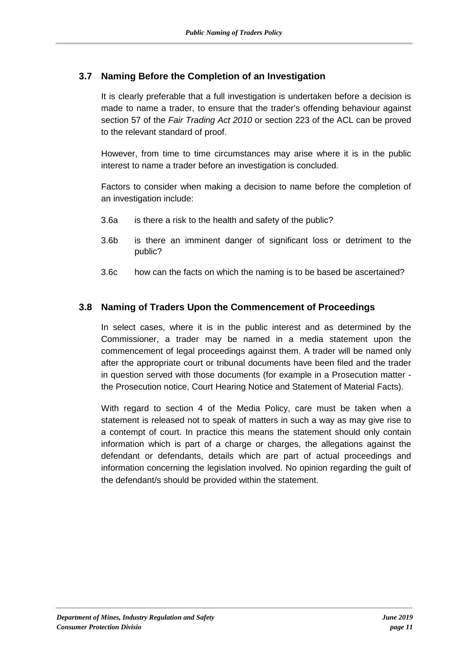#### **3.7 Naming Before the Completion of an Investigation**

It is clearly preferable that a full investigation is undertaken before a decision is made to name a trader, to ensure that the trader's offending behaviour against section 57 of the *Fair Trading Act 2010* or section 223 of the ACL can be proved to the relevant standard of proof.

However, from time to time circumstances may arise where it is in the public interest to name a trader before an investigation is concluded.

Factors to consider when making a decision to name before the completion of an investigation include:

- 3.6a is there a risk to the health and safety of the public?
- 3.6b is there an imminent danger of significant loss or detriment to the public?
- 3.6c how can the facts on which the naming is to be based be ascertained?

#### **3.8 Naming of Traders Upon the Commencement of Proceedings**

In select cases, where it is in the public interest and as determined by the Commissioner, a trader may be named in a media statement upon the commencement of legal proceedings against them. A trader will be named only after the appropriate court or tribunal documents have been filed and the trader in question served with those documents (for example in a Prosecution matter the Prosecution notice, Court Hearing Notice and Statement of Material Facts).

With regard to section 4 of the Media Policy, care must be taken when a statement is released not to speak of matters in such a way as may give rise to a contempt of court. In practice this means the statement should only contain information which is part of a charge or charges, the allegations against the defendant or defendants, details which are part of actual proceedings and information concerning the legislation involved. No opinion regarding the guilt of the defendant/s should be provided within the statement.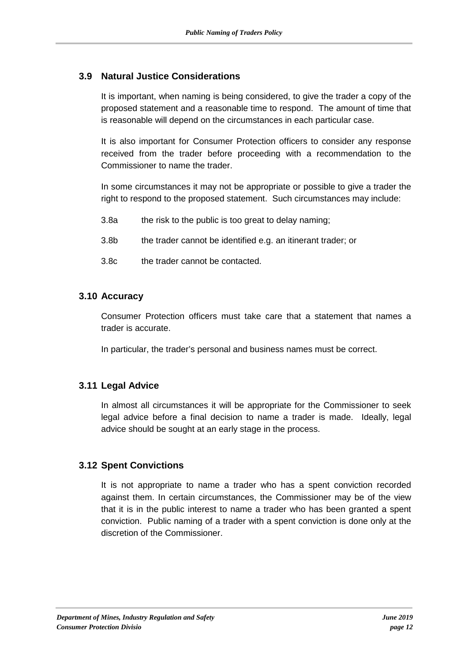#### **3.9 Natural Justice Considerations**

It is important, when naming is being considered, to give the trader a copy of the proposed statement and a reasonable time to respond. The amount of time that is reasonable will depend on the circumstances in each particular case.

It is also important for Consumer Protection officers to consider any response received from the trader before proceeding with a recommendation to the Commissioner to name the trader.

In some circumstances it may not be appropriate or possible to give a trader the right to respond to the proposed statement. Such circumstances may include:

- 3.8a the risk to the public is too great to delay naming;
- 3.8b the trader cannot be identified e.g. an itinerant trader; or
- 3.8c the trader cannot be contacted.

#### **3.10 Accuracy**

Consumer Protection officers must take care that a statement that names a trader is accurate.

In particular, the trader's personal and business names must be correct.

#### **3.11 Legal Advice**

In almost all circumstances it will be appropriate for the Commissioner to seek legal advice before a final decision to name a trader is made. Ideally, legal advice should be sought at an early stage in the process.

#### **3.12 Spent Convictions**

It is not appropriate to name a trader who has a spent conviction recorded against them. In certain circumstances, the Commissioner may be of the view that it is in the public interest to name a trader who has been granted a spent conviction. Public naming of a trader with a spent conviction is done only at the discretion of the Commissioner.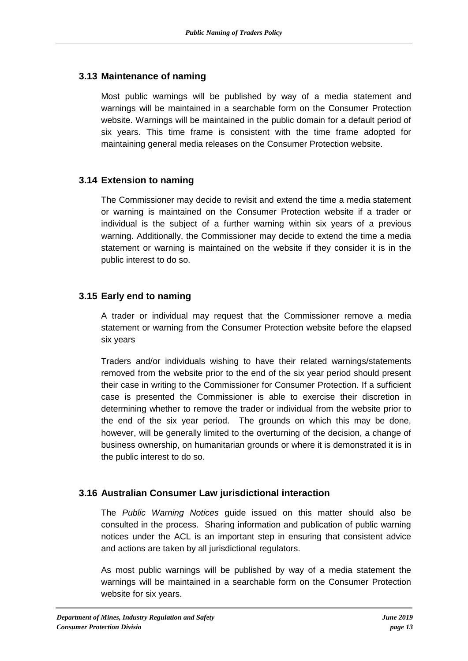#### **3.13 Maintenance of naming**

Most public warnings will be published by way of a media statement and warnings will be maintained in a searchable form on the Consumer Protection website. Warnings will be maintained in the public domain for a default period of six years. This time frame is consistent with the time frame adopted for maintaining general media releases on the Consumer Protection website.

#### **3.14 Extension to naming**

The Commissioner may decide to revisit and extend the time a media statement or warning is maintained on the Consumer Protection website if a trader or individual is the subject of a further warning within six years of a previous warning. Additionally, the Commissioner may decide to extend the time a media statement or warning is maintained on the website if they consider it is in the public interest to do so.

#### **3.15 Early end to naming**

A trader or individual may request that the Commissioner remove a media statement or warning from the Consumer Protection website before the elapsed six years

Traders and/or individuals wishing to have their related warnings/statements removed from the website prior to the end of the six year period should present their case in writing to the Commissioner for Consumer Protection. If a sufficient case is presented the Commissioner is able to exercise their discretion in determining whether to remove the trader or individual from the website prior to the end of the six year period. The grounds on which this may be done, however, will be generally limited to the overturning of the decision, a change of business ownership, on humanitarian grounds or where it is demonstrated it is in the public interest to do so.

#### **3.16 Australian Consumer Law jurisdictional interaction**

The *[Public Warning Notices](https://www.commerce.wa.gov.au/sites/default/files/atoms/files/aclpublicwarningnoticesguide.pdf)* guide issued on this matter should also be consulted in the process. Sharing information and publication of public warning notices under the ACL is an important step in ensuring that consistent advice and actions are taken by all jurisdictional regulators.

As most public warnings will be published by way of a media statement the warnings will be maintained in a searchable form on the Consumer Protection website for six years.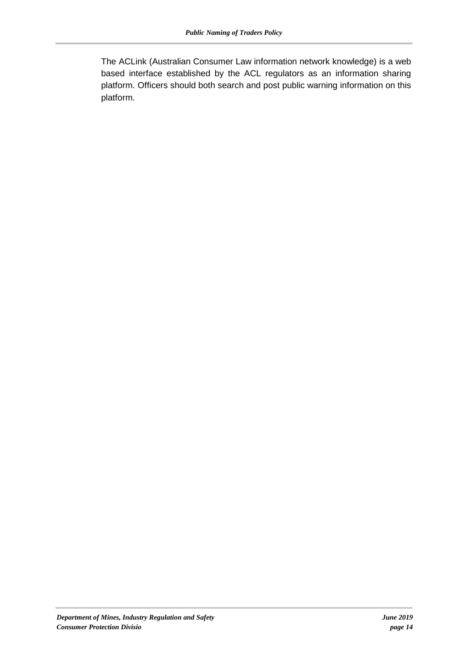The [ACLink](https://govteams.sharepoint.com/sites/aclinkmigrated/) (Australian Consumer Law information network knowledge) is a web based interface established by the ACL regulators as an information sharing platform. Officers should both search and post public warning information on this platform.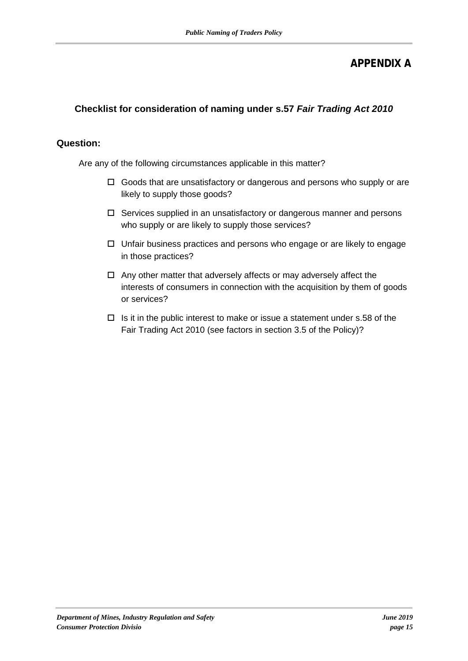## **APPENDIX A**

### **Checklist for consideration of naming under s.57** *Fair Trading Act 2010*

#### **Question:**

Are any of the following circumstances applicable in this matter?

- □ Goods that are unsatisfactory or dangerous and persons who supply or are likely to supply those goods?
- $\Box$  Services supplied in an unsatisfactory or dangerous manner and persons who supply or are likely to supply those services?
- $\Box$  Unfair business practices and persons who engage or are likely to engage in those practices?
- $\Box$  Any other matter that adversely affects or may adversely affect the interests of consumers in connection with the acquisition by them of goods or services?
- $\Box$  Is it in the public interest to make or issue a statement under s.58 of the Fair Trading Act 2010 (see factors in section 3.5 of the Policy)?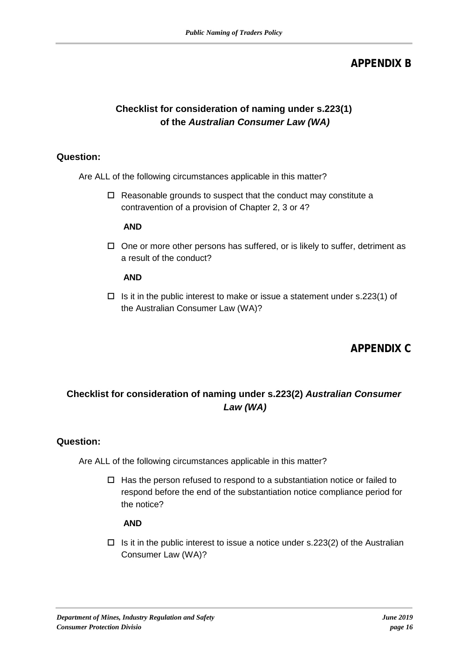## **APPENDIX B**

## **Checklist for consideration of naming under s.223(1) of the** *Australian Consumer Law (WA)*

#### **Question:**

Are ALL of the following circumstances applicable in this matter?

□ Reasonable grounds to suspect that the conduct may constitute a contravention of a provision of Chapter 2, 3 or 4?

#### **AND**

 $\Box$  One or more other persons has suffered, or is likely to suffer, detriment as a result of the conduct?

#### **AND**

 $\Box$  Is it in the public interest to make or issue a statement under s.223(1) of the Australian Consumer Law (WA)?

## **APPENDIX C**

## **Checklist for consideration of naming under s.223(2)** *Australian Consumer Law (WA)*

#### **Question:**

Are ALL of the following circumstances applicable in this matter?

 $\Box$  Has the person refused to respond to a substantiation notice or failed to respond before the end of the substantiation notice compliance period for the notice?

#### **AND**

 $\Box$  Is it in the public interest to issue a notice under s.223(2) of the Australian Consumer Law (WA)?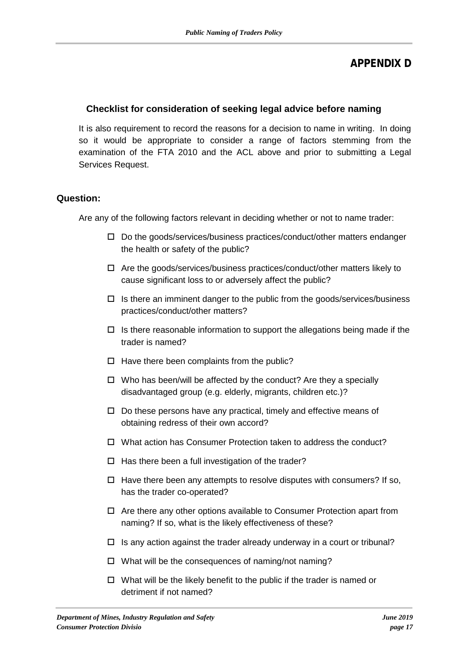## **APPENDIX D**

#### **Checklist for consideration of seeking legal advice before naming**

It is also requirement to record the reasons for a decision to name in writing. In doing so it would be appropriate to consider a range of factors stemming from the examination of the FTA 2010 and the ACL above and prior to submitting a Legal Services Request.

#### **Question:**

Are any of the following factors relevant in deciding whether or not to name trader:

- $\square$  Do the goods/services/business practices/conduct/other matters endanger the health or safety of the public?
- $\Box$  Are the goods/services/business practices/conduct/other matters likely to cause significant loss to or adversely affect the public?
- $\Box$  Is there an imminent danger to the public from the goods/services/business practices/conduct/other matters?
- $\Box$  Is there reasonable information to support the allegations being made if the trader is named?
- $\Box$  Have there been complaints from the public?
- $\Box$  Who has been/will be affected by the conduct? Are they a specially disadvantaged group (e.g. elderly, migrants, children etc.)?
- $\Box$  Do these persons have any practical, timely and effective means of obtaining redress of their own accord?
- □ What action has Consumer Protection taken to address the conduct?
- $\Box$  Has there been a full investigation of the trader?
- $\Box$  Have there been any attempts to resolve disputes with consumers? If so, has the trader co-operated?
- $\Box$  Are there any other options available to Consumer Protection apart from naming? If so, what is the likely effectiveness of these?
- $\Box$  Is any action against the trader already underway in a court or tribunal?
- $\Box$  What will be the consequences of naming/not naming?
- $\Box$  What will be the likely benefit to the public if the trader is named or detriment if not named?